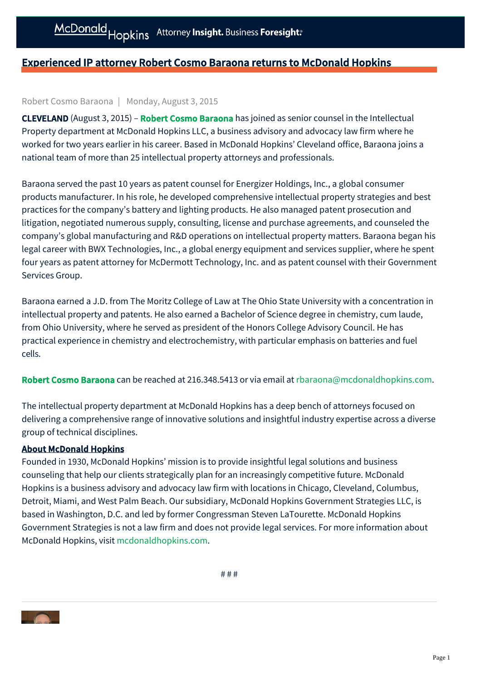## Experienced IP attorney Robert Cosmo Baraona returns to McDonald Hopkins

## Robert Cosmo Baraona | Monday, August 3, 2015

**CLEVELAND** (August 3, 2015) – **[Robert Cosmo Baraona](https://mcdonaldhopkins.com/link.aspx?_id=22F8AD5B07574D518D6AC88ECA82A9E5&_z=z)** has joined as senior counsel in the Intellectual Property department at McDonald Hopkins LLC, a business advisory and advocacy law firm where he worked for two years earlier in his career. Based in McDonald Hopkins' Cleveland office, Baraona joins a national team of more than 25 intellectual property attorneys and professionals.

Baraona served the past 10 years as patent counsel for Energizer Holdings, Inc., a global consumer products manufacturer. In his role, he developed comprehensive intellectual property strategies and best practices for the company's battery and lighting products. He also managed patent prosecution and litigation, negotiated numerous supply, consulting, license and purchase agreements, and counseled the company's global manufacturing and R&D operations on intellectual property matters. Baraona began his legal career with BWX Technologies, Inc., a global energy equipment and services supplier, where he spent four years as patent attorney for McDermott Technology, Inc. and as patent counsel with their Government Services Group.

Baraona earned a J.D. from The Moritz College of Law at The Ohio State University with a concentration in intellectual property and patents. He also earned a Bachelor of Science degree in chemistry, cum laude, from Ohio University, where he served as president of the Honors College Advisory Council. He has practical experience in chemistry and electrochemistry, with particular emphasis on batteries and fuel cells.

[Robert Cosmo Baraona](https://mcdonaldhopkins.com/link.aspx?_id=22F8AD5B07574D518D6AC88ECA82A9E5&_z=z) can be reached at 216.348.5413 or via email at [rbaraona@mcdonaldhopkins.com](mailto:rbaraona@mcdonaldhopkins.com).

The intellectual property department at McDonald Hopkins has a deep bench of attorneys focused on delivering a comprehensive range of innovative solutions and insightful industry expertise across a diverse group of technical disciplines.

## About McDonald Hopkins

Founded in 1930, McDonald Hopkins' mission is to provide insightful legal solutions and business counseling that help our clients strategically plan for an increasingly competitive future. McDonald Hopkins is a business advisory and advocacy law firm with locations in Chicago, Cleveland, Columbus, Detroit, Miami, and West Palm Beach. Our subsidiary, McDonald Hopkins Government Strategies LLC, is based in Washington, D.C. and led by former Congressman Steven LaTourette. McDonald Hopkins Government Strategies is not a law firm and does not provide legal services. For more information about McDonald Hopkins, visit [mcdonaldhopkins.com.](http://www.mcdonaldhopkins.com/)

# # #